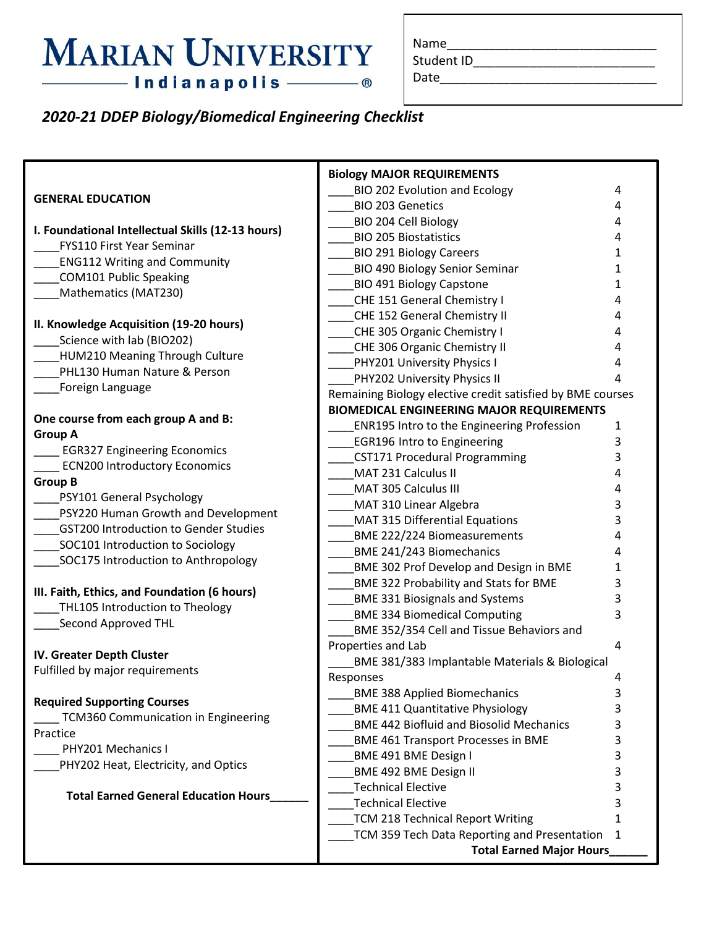# **MARIAN UNIVERSITY**

| Name |  |  |  |  |  |
|------|--|--|--|--|--|
|      |  |  |  |  |  |

Student ID\_\_\_\_\_\_\_\_\_\_\_\_\_\_\_\_\_\_\_\_\_\_\_\_\_\_\_\_\_\_\_\_\_

Date\_\_\_\_\_\_\_\_\_\_\_\_\_\_\_\_\_\_\_\_\_\_\_\_\_\_\_\_\_\_\_

### *2020-21 DDEP Biology/Biomedical Engineering Checklist*

|                                                                                       | <b>Biology MAJOR REQUIREMENTS</b>                          |   |  |  |  |
|---------------------------------------------------------------------------------------|------------------------------------------------------------|---|--|--|--|
|                                                                                       | BIO 202 Evolution and Ecology                              | 4 |  |  |  |
| <b>GENERAL EDUCATION</b>                                                              | <b>BIO 203 Genetics</b>                                    | 4 |  |  |  |
|                                                                                       | <b>BIO 204 Cell Biology</b>                                | 4 |  |  |  |
| I. Foundational Intellectual Skills (12-13 hours)<br><b>FYS110 First Year Seminar</b> | <b>BIO 205 Biostatistics</b>                               | 4 |  |  |  |
|                                                                                       | <b>BIO 291 Biology Careers</b>                             | 1 |  |  |  |
| <b>ENG112 Writing and Community</b>                                                   | <b>BIO 490 Biology Senior Seminar</b>                      | 1 |  |  |  |
| <b>COM101 Public Speaking</b><br>Mathematics (MAT230)                                 | <b>BIO 491 Biology Capstone</b>                            | 1 |  |  |  |
|                                                                                       | CHE 151 General Chemistry I                                | 4 |  |  |  |
|                                                                                       | CHE 152 General Chemistry II                               | 4 |  |  |  |
| II. Knowledge Acquisition (19-20 hours)                                               | CHE 305 Organic Chemistry I                                | 4 |  |  |  |
| Science with lab (BIO202)                                                             | CHE 306 Organic Chemistry II                               | 4 |  |  |  |
| HUM210 Meaning Through Culture<br>PHL130 Human Nature & Person                        | PHY201 University Physics I                                | 4 |  |  |  |
|                                                                                       | PHY202 University Physics II                               |   |  |  |  |
| Foreign Language                                                                      | Remaining Biology elective credit satisfied by BME courses |   |  |  |  |
|                                                                                       | <b>BIOMEDICAL ENGINEERING MAJOR REQUIREMENTS</b>           |   |  |  |  |
| One course from each group A and B:                                                   | <b>ENR195 Intro to the Engineering Profession</b>          | 1 |  |  |  |
| <b>Group A</b><br><b>EGR327 Engineering Economics</b>                                 | <b>EGR196 Intro to Engineering</b>                         | 3 |  |  |  |
|                                                                                       | <b>CST171 Procedural Programming</b>                       | 3 |  |  |  |
| <b>ECN200 Introductory Economics</b>                                                  | MAT 231 Calculus II                                        |   |  |  |  |
| <b>Group B</b>                                                                        | MAT 305 Calculus III                                       | 4 |  |  |  |
| PSY101 General Psychology                                                             | MAT 310 Linear Algebra                                     | 3 |  |  |  |
| PSY220 Human Growth and Development                                                   | MAT 315 Differential Equations                             | 3 |  |  |  |
| <b>GST200 Introduction to Gender Studies</b>                                          | <b>BME 222/224 Biomeasurements</b>                         | 4 |  |  |  |
| SOC101 Introduction to Sociology                                                      | BME 241/243 Biomechanics                                   |   |  |  |  |
| SOC175 Introduction to Anthropology                                                   | <b>BME 302 Prof Develop and Design in BME</b>              | 1 |  |  |  |
|                                                                                       | BME 322 Probability and Stats for BME                      | 3 |  |  |  |
| III. Faith, Ethics, and Foundation (6 hours)                                          | <b>BME 331 Biosignals and Systems</b>                      | 3 |  |  |  |
| THL105 Introduction to Theology                                                       | <b>BME 334 Biomedical Computing</b>                        | 3 |  |  |  |
| Second Approved THL                                                                   | BME 352/354 Cell and Tissue Behaviors and                  |   |  |  |  |
|                                                                                       | Properties and Lab                                         | 4 |  |  |  |
| IV. Greater Depth Cluster                                                             | BME 381/383 Implantable Materials & Biological             |   |  |  |  |
| Fulfilled by major requirements                                                       | Responses                                                  | 4 |  |  |  |
|                                                                                       | <b>BME 388 Applied Biomechanics</b>                        | 3 |  |  |  |
| <b>Required Supporting Courses</b>                                                    | <b>BME 411 Quantitative Physiology</b>                     | 3 |  |  |  |
| TCM360 Communication in Engineering                                                   | <b>BME 442 Biofluid and Biosolid Mechanics</b>             | 3 |  |  |  |
| Practice                                                                              | <b>BME 461 Transport Processes in BME</b>                  | 3 |  |  |  |
| PHY201 Mechanics I                                                                    | BME 491 BME Design I                                       | 3 |  |  |  |
| PHY202 Heat, Electricity, and Optics                                                  | BME 492 BME Design II                                      | 3 |  |  |  |
|                                                                                       | <b>Technical Elective</b>                                  |   |  |  |  |
| <b>Total Earned General Education Hours_</b>                                          | <b>Technical Elective</b>                                  |   |  |  |  |
|                                                                                       | TCM 218 Technical Report Writing                           | 1 |  |  |  |
|                                                                                       | TCM 359 Tech Data Reporting and Presentation               | 1 |  |  |  |
|                                                                                       | <b>Total Earned Major Hours</b>                            |   |  |  |  |
|                                                                                       |                                                            |   |  |  |  |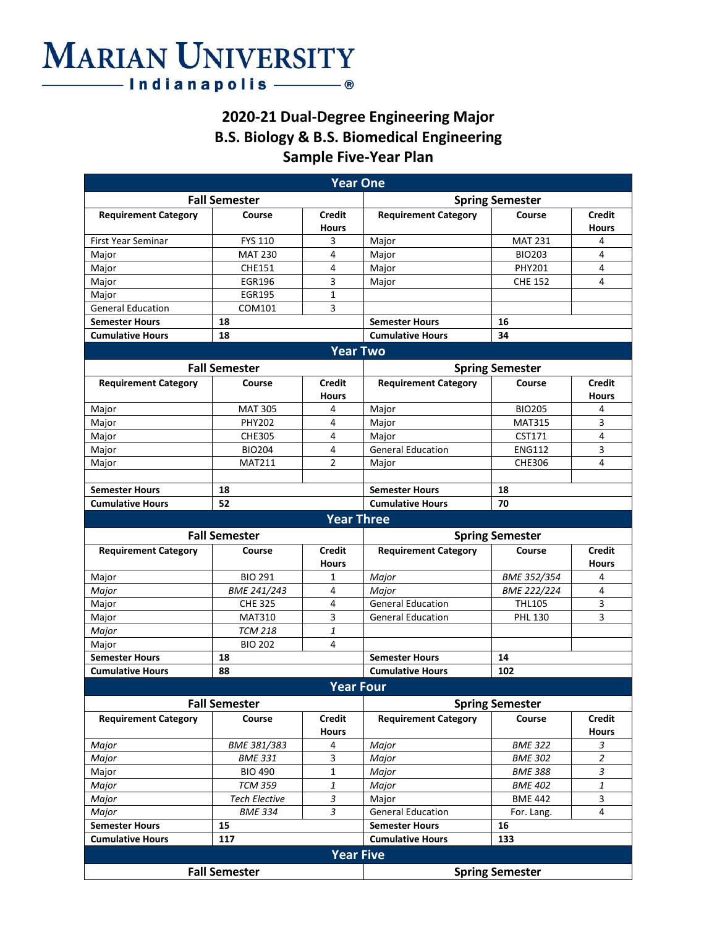## **MARIAN UNIVERSITY** — Indianapolis ——— ®

### **2020-21 Dual-Degree Engineering Major B.S. Biology & B.S. Biomedical Engineering Sample Five-Year Plan**

|                                                |                      | <b>Year One</b>               |                               |                |                               |  |  |
|------------------------------------------------|----------------------|-------------------------------|-------------------------------|----------------|-------------------------------|--|--|
|                                                | <b>Fall Semester</b> |                               | <b>Spring Semester</b>        |                |                               |  |  |
| <b>Requirement Category</b>                    | Course               | <b>Credit</b><br><b>Hours</b> | <b>Requirement Category</b>   | Course         | <b>Credit</b><br>Hours        |  |  |
| <b>First Year Seminar</b>                      | <b>FYS 110</b>       | 3                             | Major                         | <b>MAT 231</b> | 4                             |  |  |
| Major                                          | <b>MAT 230</b>       | 4                             | Major                         | <b>BIO203</b>  | $\overline{4}$                |  |  |
| Major                                          | CHE151               | 4                             | Major                         | PHY201         | 4                             |  |  |
| Major                                          | <b>EGR196</b>        | 3                             | Major                         | <b>CHE 152</b> | 4                             |  |  |
| Major                                          | <b>EGR195</b>        | 1                             |                               |                |                               |  |  |
| <b>General Education</b>                       | COM101               | 3                             |                               |                |                               |  |  |
| <b>Semester Hours</b>                          | 18                   |                               | <b>Semester Hours</b>         | 16             |                               |  |  |
| <b>Cumulative Hours</b>                        | 18                   |                               | <b>Cumulative Hours</b><br>34 |                |                               |  |  |
|                                                |                      | <b>Year Two</b>               |                               |                |                               |  |  |
|                                                |                      |                               |                               |                |                               |  |  |
|                                                | <b>Fall Semester</b> |                               | <b>Spring Semester</b>        |                |                               |  |  |
| <b>Requirement Category</b>                    | Course               | Credit<br><b>Hours</b>        | <b>Requirement Category</b>   | Course         | <b>Credit</b><br>Hours        |  |  |
| Major                                          | <b>MAT 305</b>       | 4                             | Major                         | <b>BIO205</b>  | 4                             |  |  |
| Major                                          | <b>PHY202</b>        | 4                             | Major                         | <b>MAT315</b>  | 3                             |  |  |
| Major                                          | <b>CHE305</b>        | 4                             | Major                         | CST171         | 4                             |  |  |
| Major                                          | <b>BIO204</b>        | 4                             | <b>General Education</b>      | <b>ENG112</b>  | 3                             |  |  |
| Major                                          | <b>MAT211</b>        | $\overline{2}$                | Major                         | <b>CHE306</b>  | 4                             |  |  |
|                                                |                      |                               |                               |                |                               |  |  |
| <b>Semester Hours</b>                          | 18                   |                               | <b>Semester Hours</b><br>18   |                |                               |  |  |
| <b>Cumulative Hours</b>                        | 52                   |                               | <b>Cumulative Hours</b>       | 70             |                               |  |  |
|                                                |                      | <b>Year Three</b>             |                               |                |                               |  |  |
|                                                | <b>Fall Semester</b> |                               | <b>Spring Semester</b>        |                |                               |  |  |
| <b>Requirement Category</b>                    | Course               | <b>Credit</b><br><b>Hours</b> | <b>Requirement Category</b>   | Course         | <b>Credit</b><br><b>Hours</b> |  |  |
| Major                                          | <b>BIO 291</b>       | 1                             | Major                         | BME 352/354    | 4                             |  |  |
| Major                                          | BME 241/243          | 4                             | Major                         | BME 222/224    | 4                             |  |  |
| Major                                          | <b>CHE 325</b>       | 4                             | <b>General Education</b>      | <b>THL105</b>  | 3                             |  |  |
| Major                                          | <b>MAT310</b>        | 3                             | <b>General Education</b>      | <b>PHL 130</b> | 3                             |  |  |
| Major                                          | <b>TCM 218</b>       | 1                             |                               |                |                               |  |  |
| Major                                          | <b>BIO 202</b>       | 4                             |                               |                |                               |  |  |
| <b>Semester Hours</b>                          | 18                   |                               | <b>Semester Hours</b>         | 14             |                               |  |  |
| <b>Cumulative Hours</b>                        | 88                   |                               | <b>Cumulative Hours</b>       | 102            |                               |  |  |
|                                                |                      | <b>Year Four</b>              |                               |                |                               |  |  |
|                                                | <b>Fall Semester</b> |                               | <b>Spring Semester</b>        |                |                               |  |  |
| <b>Requirement Category</b>                    | Course               | <b>Credit</b><br><b>Hours</b> | <b>Requirement Category</b>   | Course         | <b>Credit</b><br><b>Hours</b> |  |  |
| Major                                          | BME 381/383          | 4                             | Major                         | <b>BME 322</b> | 3                             |  |  |
| Major                                          | <b>BME 331</b>       | 3                             | Major                         | <b>BME 302</b> | $\overline{2}$                |  |  |
| Major                                          | <b>BIO 490</b>       | $\mathbf{1}$                  | Major                         | <b>BME 388</b> | 3                             |  |  |
| Major                                          | <b>TCM 359</b>       | 1                             | Major                         | <b>BME 402</b> | 1                             |  |  |
| Major                                          | <b>Tech Elective</b> | 3                             | Major                         | <b>BME 442</b> | 3                             |  |  |
| Major                                          | <b>BME 334</b>       | 3                             | <b>General Education</b>      | For. Lang.     | 4                             |  |  |
| <b>Semester Hours</b>                          | 15                   |                               | <b>Semester Hours</b>         | 16             |                               |  |  |
| <b>Cumulative Hours</b>                        | 117                  |                               | <b>Cumulative Hours</b>       | 133            |                               |  |  |
|                                                |                      | <b>Year Five</b>              |                               |                |                               |  |  |
| <b>Fall Semester</b><br><b>Spring Semester</b> |                      |                               |                               |                |                               |  |  |